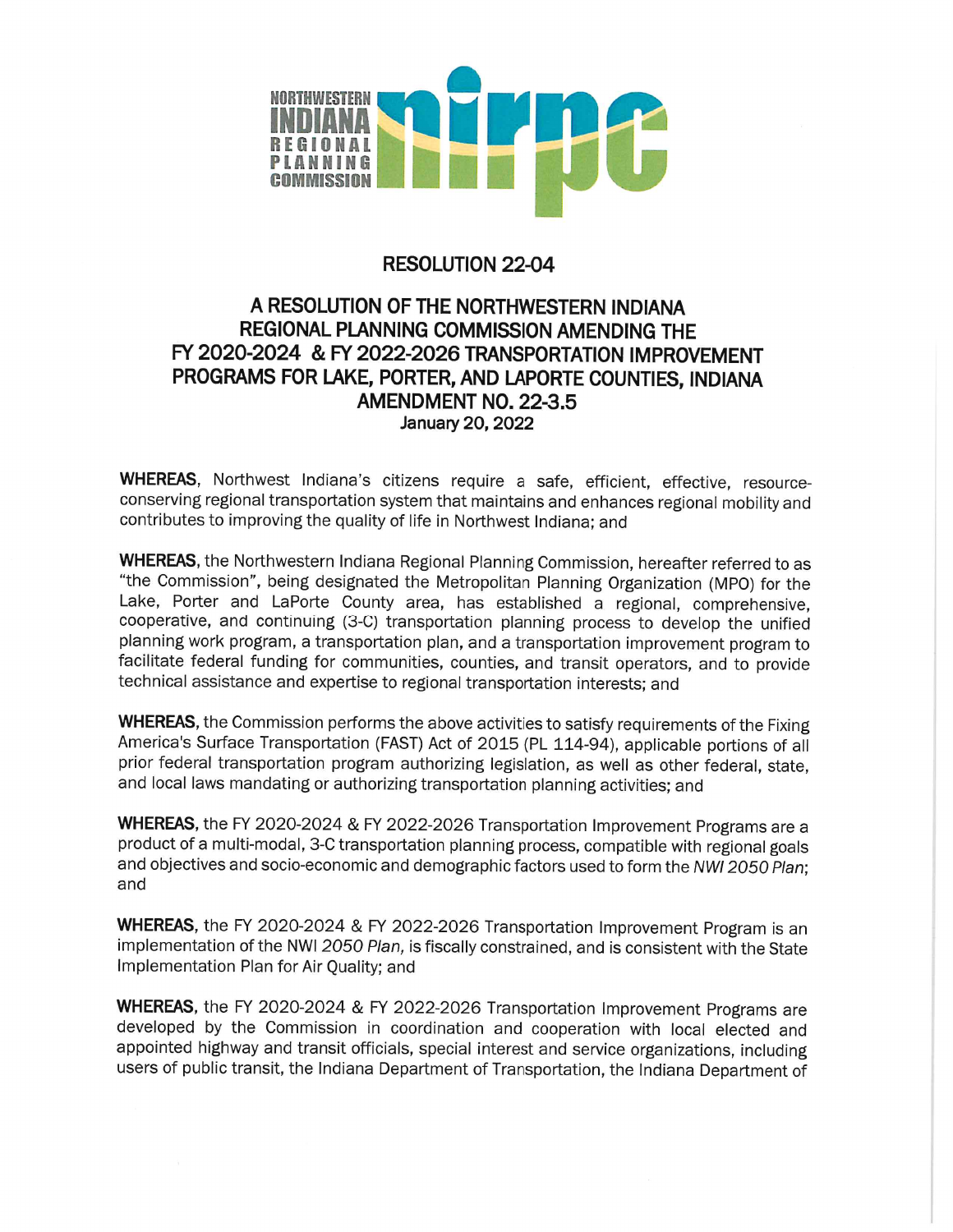

# **RESOLUTION 22-04**

# A RESOLUTION OF THE NORTHWESTERN INDIANA **REGIONAL PLANNING COMMISSION AMENDING THE** FY 2020-2024 & FY 2022-2026 TRANSPORTATION IMPROVEMENT PROGRAMS FOR LAKE, PORTER, AND LAPORTE COUNTIES, INDIANA AMENDMENT NO. 22-3.5 January 20, 2022

WHEREAS, Northwest Indiana's citizens require a safe, efficient, effective, resourceconserving regional transportation system that maintains and enhances regional mobility and contributes to improving the quality of life in Northwest Indiana; and

WHEREAS, the Northwestern Indiana Regional Planning Commission, hereafter referred to as "the Commission", being designated the Metropolitan Planning Organization (MPO) for the Lake, Porter and LaPorte County area, has established a regional, comprehensive, cooperative, and continuing (3-C) transportation planning process to develop the unified planning work program, a transportation plan, and a transportation improvement program to facilitate federal funding for communities, counties, and transit operators, and to provide technical assistance and expertise to regional transportation interests; and

WHEREAS, the Commission performs the above activities to satisfy requirements of the Fixing America's Surface Transportation (FAST) Act of 2015 (PL 114-94), applicable portions of all prior federal transportation program authorizing legislation, as well as other federal, state, and local laws mandating or authorizing transportation planning activities; and

WHEREAS, the FY 2020-2024 & FY 2022-2026 Transportation Improvement Programs are a product of a multi-modal, 3-C transportation planning process, compatible with regional goals and objectives and socio-economic and demographic factors used to form the NWI 2050 Plan; and

WHEREAS, the FY 2020-2024 & FY 2022-2026 Transportation Improvement Program is an implementation of the NWI 2050 Plan, is fiscally constrained, and is consistent with the State Implementation Plan for Air Quality; and

WHEREAS, the FY 2020-2024 & FY 2022-2026 Transportation Improvement Programs are developed by the Commission in coordination and cooperation with local elected and appointed highway and transit officials, special interest and service organizations, including users of public transit, the Indiana Department of Transportation, the Indiana Department of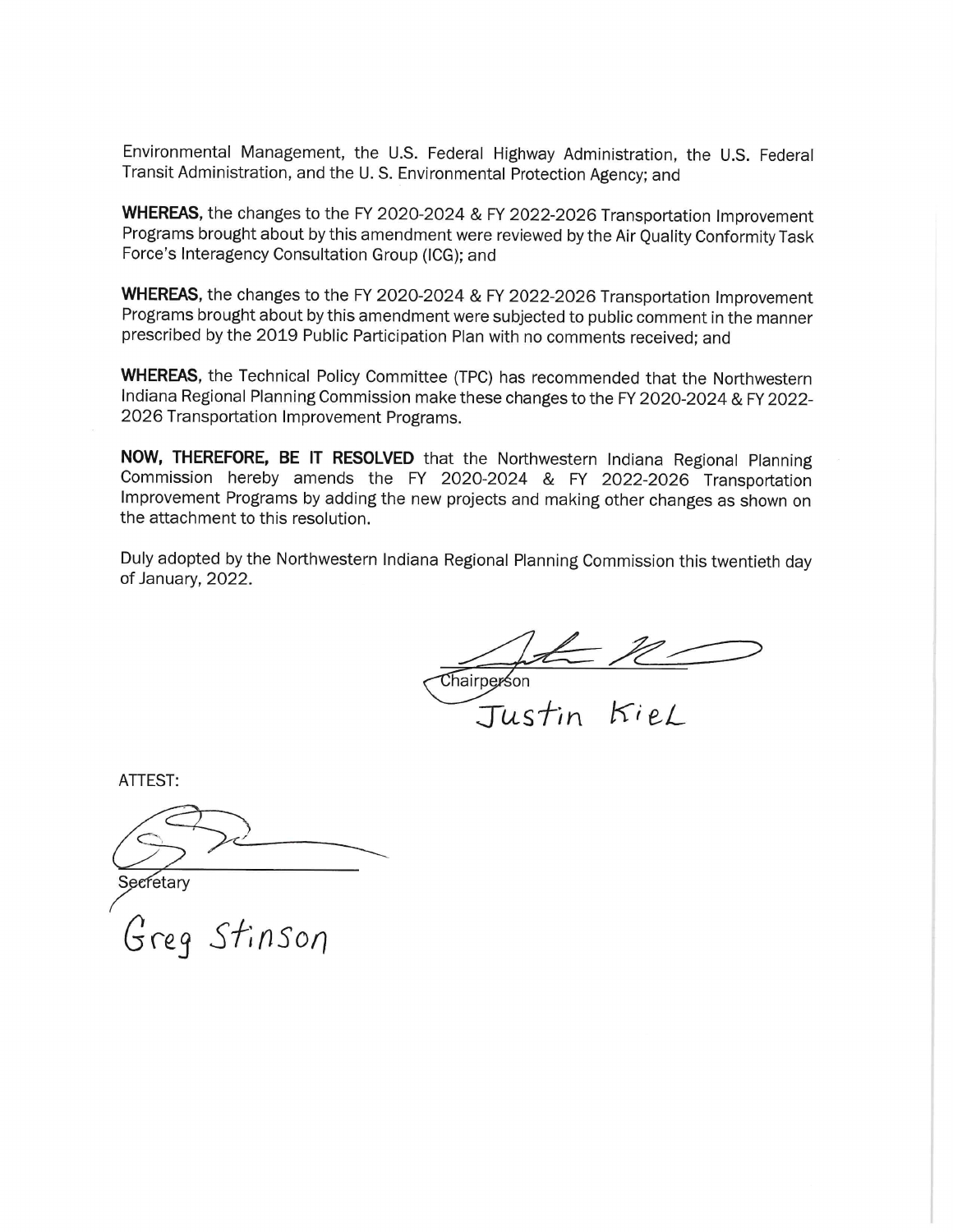Environmental Management, the U.S. Federal Highway Administration, the U.S. Federal Transit Administration, and the U.S. Environmental Protection Agency; and

WHEREAS, the changes to the FY 2020-2024 & FY 2022-2026 Transportation Improvement Programs brought about by this amendment were reviewed by the Air Quality Conformity Task Force's Interagency Consultation Group (ICG); and

WHEREAS, the changes to the FY 2020-2024 & FY 2022-2026 Transportation Improvement Programs brought about by this amendment were subjected to public comment in the manner prescribed by the 2019 Public Participation Plan with no comments received; and

WHEREAS, the Technical Policy Committee (TPC) has recommended that the Northwestern Indiana Regional Planning Commission make these changes to the FY 2020-2024 & FY 2022-2026 Transportation Improvement Programs.

NOW, THEREFORE, BE IT RESOLVED that the Northwestern Indiana Regional Planning Commission hereby amends the FY 2020-2024 & FY 2022-2026 Transportation Improvement Programs by adding the new projects and making other changes as shown on the attachment to this resolution.

Duly adopted by the Northwestern Indiana Regional Planning Commission this twentieth day of January, 2022.

Chairperson<br>Justin Kiel

**ATTEST:** 

Secretary

Greg Stinson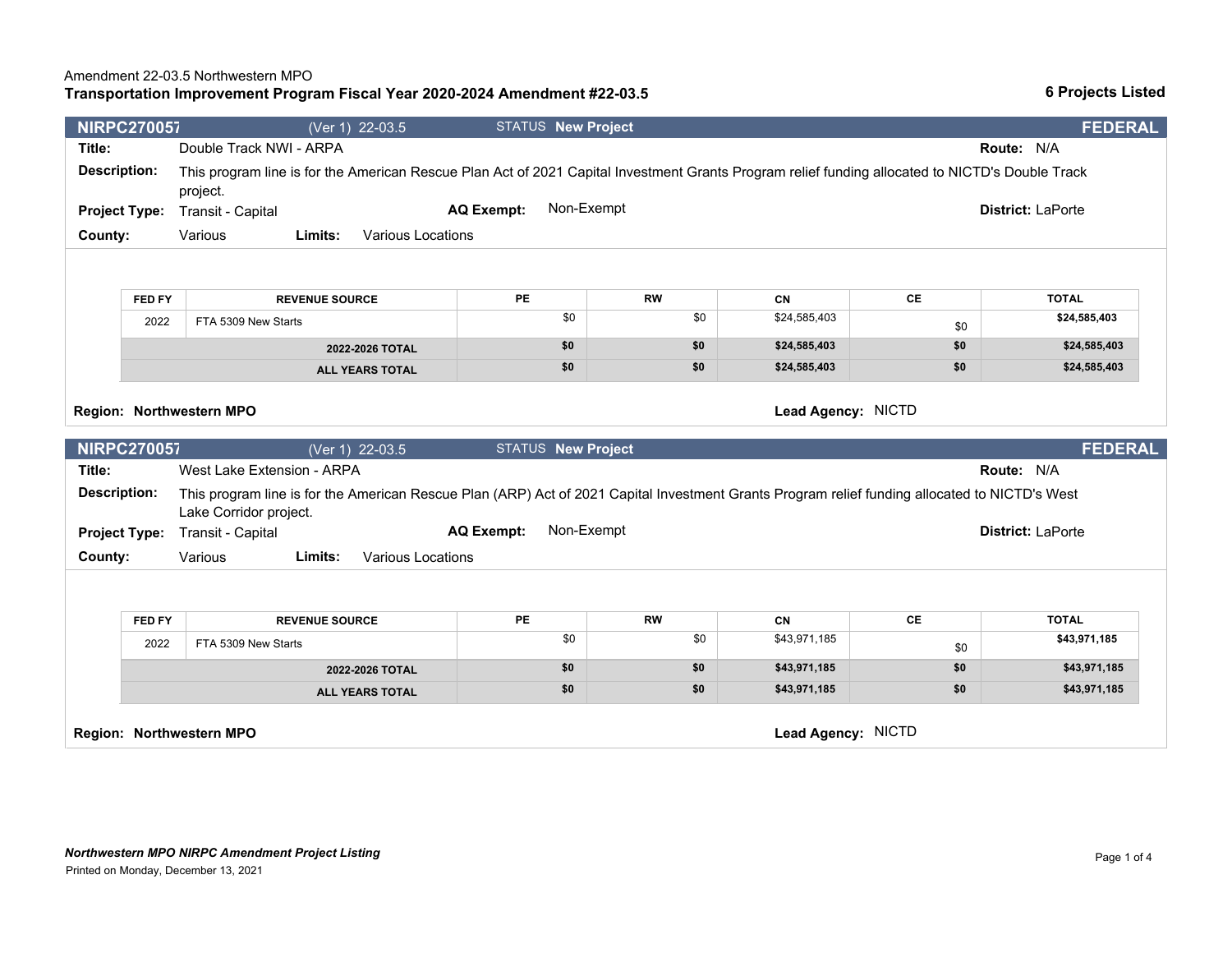## *Northwestern MPO NIRPC Amendment Project Listing* Printed on Monday, December 13, 2021

| Limits:<br>Various Locations |                          |                                 |           |    |
|------------------------------|--------------------------|---------------------------------|-----------|----|
|                              |                          |                                 |           |    |
|                              |                          |                                 |           |    |
| <b>VENUE SOURCE</b>          | <b>PE</b>                | <b>RW</b>                       | <b>CN</b> | СE |
|                              | the property of the con- | the contract of the contract of |           |    |

| <b>FED FY</b> | <b>REVENUE SOURCE</b> | PE  | <b>RW</b> | CN           | СE  | <b>TOTAL</b> |
|---------------|-----------------------|-----|-----------|--------------|-----|--------------|
| 2022          | FTA 5309 New Starts   |     | \$0       | \$24,585,403 | \$0 | \$24,585,403 |
|               | 2022-2026 TOTAL       | \$0 | \$0       | \$24,585,403 | \$0 | \$24,585,403 |
|               | ALL VEADO TOTAL       | \$0 | \$0       | \$24,585,403 | \$0 | \$24,585,403 |

**NIRPC2700570** (Ver 1) 22-03.5 STATUS **New Project FEDERAL**

**Title:** Double Track NWI - ARPA **Route:** N/A **Description:** This program line is for the American Rescue Plan Act of 2021 Capital Investment Grants Program relief funding allocated to NICTD's Double Track

**AQ Exempt:** Non-Exempt

**Project Type:** Transit - Capital **District:** LaPorte

**County:** Various

| <b>FED FY</b> | <b>REVENUE SOURCE</b>  | PE  | <b>RW</b> | CN           | СE  | <b>TOTAL</b> |
|---------------|------------------------|-----|-----------|--------------|-----|--------------|
| 2022          | FTA 5309 New Starts    | \$0 | \$0       | \$43,971,185 | \$0 | \$43,971,185 |
|               | 2022-2026 TOTAL        | \$0 | \$0       | \$43,971,185 | \$0 | \$43,971,185 |
|               | <b>ALL YEARS TOTAL</b> | \$0 | \$0       | \$43,971,185 | \$0 | \$43,971,185 |

project.

## **Transportation Improvement Program Fiscal Year 2020-2024 Amendment #22-03.5**

|         | FED FY<br><b>REVENUE SOURCE</b> |                                                                                                                                                | <b>PE</b>                 | <b>RW</b> | <b>CN</b>          | CE  | <b>TOTAL</b>             |  |  |  |
|---------|---------------------------------|------------------------------------------------------------------------------------------------------------------------------------------------|---------------------------|-----------|--------------------|-----|--------------------------|--|--|--|
|         | 2022                            | FTA 5309 New Starts                                                                                                                            | \$0                       | \$0       | \$24,585,403       | \$0 | \$24,585,403             |  |  |  |
|         |                                 | 2022-2026 TOTAL                                                                                                                                | \$0                       | \$0       | \$24,585,403       | \$0 | \$24,585,403             |  |  |  |
|         |                                 | <b>ALL YEARS TOTAL</b>                                                                                                                         | \$0                       | \$0       | \$24,585,403       | \$0 | \$24,585,403             |  |  |  |
|         |                                 | Region: Northwestern MPO                                                                                                                       |                           |           | Lead Agency: NICTD |     |                          |  |  |  |
|         | <b>NIRPC270057</b>              | (Ver 1) 22-03.5                                                                                                                                | <b>STATUS New Project</b> |           |                    |     | <b>FEDERAL</b>           |  |  |  |
| Title:  |                                 | West Lake Extension - ARPA                                                                                                                     |                           |           |                    |     | Route: N/A               |  |  |  |
|         | <b>Description:</b>             | This program line is for the American Rescue Plan (ARP) Act of 2021 Capital Investment Grants Program relief funding allocated to NICTD's West |                           |           |                    |     |                          |  |  |  |
|         |                                 | Lake Corridor project.                                                                                                                         | Non-Exempt                |           |                    |     | <b>District: LaPorte</b> |  |  |  |
| County: | <b>Project Type:</b>            | Transit - Capital<br>Various<br>Various Locations<br>Limits:                                                                                   | <b>AQ Exempt:</b>         |           |                    |     |                          |  |  |  |
|         | FED FY                          | <b>REVENUE SOURCE</b>                                                                                                                          | PE                        | <b>RW</b> | <b>CN</b>          | CE  | <b>TOTAL</b>             |  |  |  |
|         | 2022                            | FTA 5309 New Starts                                                                                                                            | \$0                       | \$0       | \$43,971,185       | \$0 | \$43,971,185             |  |  |  |
|         |                                 | 2022-2026 TOTAL                                                                                                                                | \$0                       | \$0       | \$43,971,185       | \$0 | \$43,971,185             |  |  |  |
|         |                                 | <b>ALL YEARS TOTAL</b>                                                                                                                         | \$0                       | \$0       | \$43,971,185       | \$0 | \$43,971,185             |  |  |  |

### **6 Projects Listed**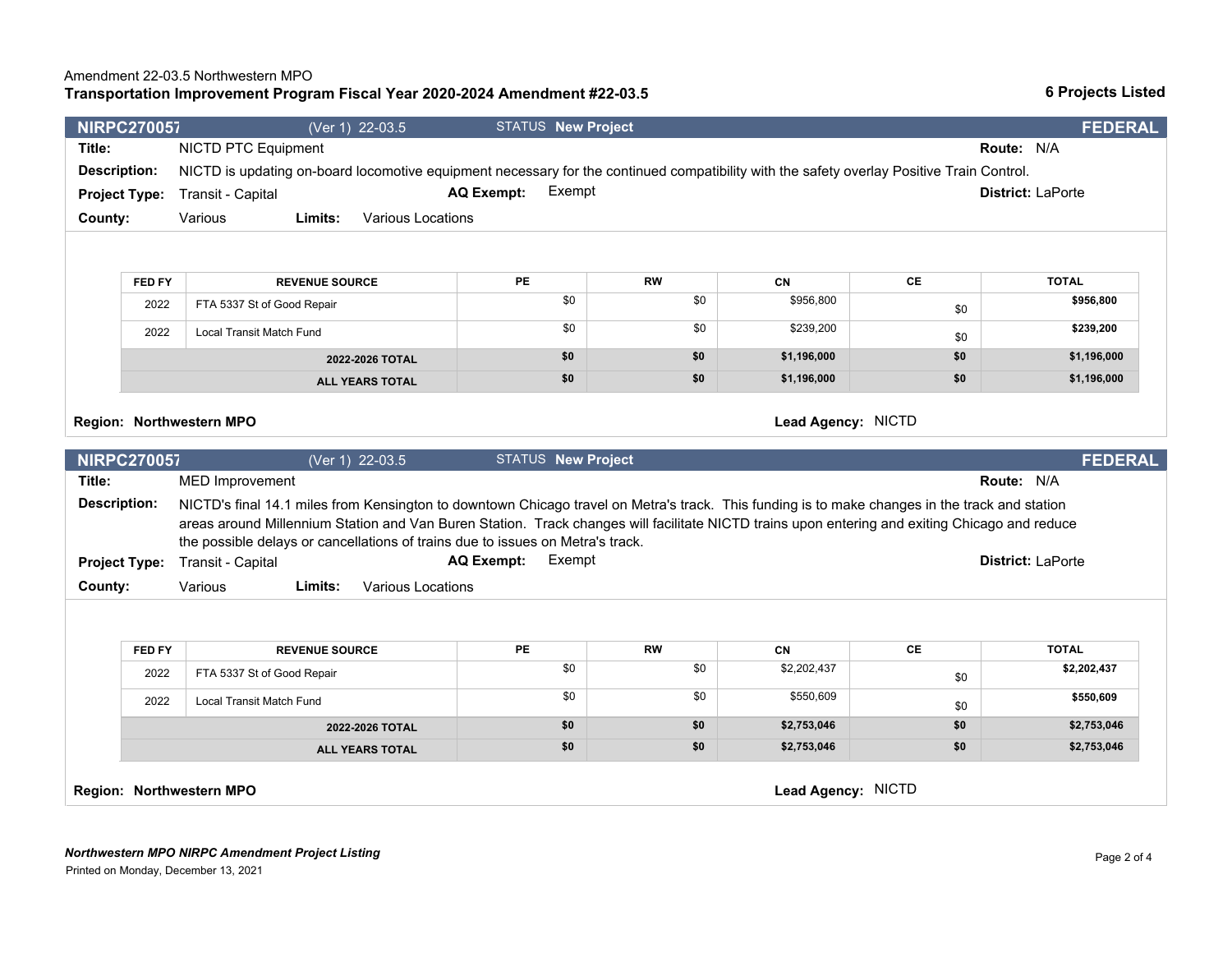# *Northwestern MPO NIRPC Amendment Project Listing*

Printed on Monday, December 13, 2021

### **Transportation Improvement Program Fiscal Year 2020-2024 Amendment #22-03.5** Amendment 22-03.5 Northwestern MPO

## **NIRPC2700572** (Ver 1) 22-03.5 STATUS **New Project FEDERAL Title:** NICTD PTC Equipment **Route:** N/A **Description:** NICTD is updating on-board locomotive equipment necessary for the continued compatibility with the safety overlay Positive Train Control. **Project Type: County:** Various Transit - Capital **District:** LaPorte **Limits:** Various Locations **AQ Exempt: FED FY REVENUE SOURCE PE RW CN CE TOTAL** 2022 FTA 5337 St of Good Repair **\$0** \$0 \$956,800 \$956,800 \$956,800 \$956,800 \$956,800 \$956,800 \$956,800 \$956,800 \$956,800 \$956,800 \$956,800 \$956,800 \$956,800 \$956,800 \$956,800 \$956,800 \$956,800 \$956,800 \$956,800 \$956,800 \$9 \$0 **\$956,800**  2022 Local Transit Match Fund **\$0 \$239,200** \$0 \$239,200 \$0 **\$239,200 2022-2026 TOTAL \$0 \$0 \$1,196,000 \$0 \$1,196,000 ALL YEARS TOTAL \$0 \$0 \$1,196,000 \$0 \$1,196,000 Region: Northwestern MPO Lead Agency:** NICTD **NIRPC2700573** (Ver 1) 22-03.5 STATUS **New Project FEDERAL Title:** MED Improvement **Route:** N/A **Description:** NICTD's final 14.1 miles from Kensington to downtown Chicago travel on Metra's track. This funding is to make changes in the track and station areas around Millennium Station and Van Buren Station. Track changes will facilitate NICTD trains upon entering and exiting Chicago and reduce the possible delays or cancellations of trains due to issues on Metra's track. **Project Type: County:** Various Transit - Capital **District:** LaPorte **Limits:** Various Locations **AQ Exempt:** Exempt **FED FY REVENUE SOURCE PE RW CN CE TOTAL** 2022 FTA 5337 St of Good Repair **\$0 \$2,202,437** \$0 \$0 \$2,202,437 \$0 **\$2,202,437**  2022 Local Transit Match Fund **\$0** \$550,609 \$550,609 \$0 \$550,609 \$0 **\$550,609 2022-2026 TOTAL \$0 \$0 \$2,753,046 \$0 \$2,753,046 ALL YEARS TOTAL \$0 \$0 \$2,753,046 \$0 \$2,753,046 Region: Northwestern MPO Lead Agency:** NICTD

**6 Projects Listed**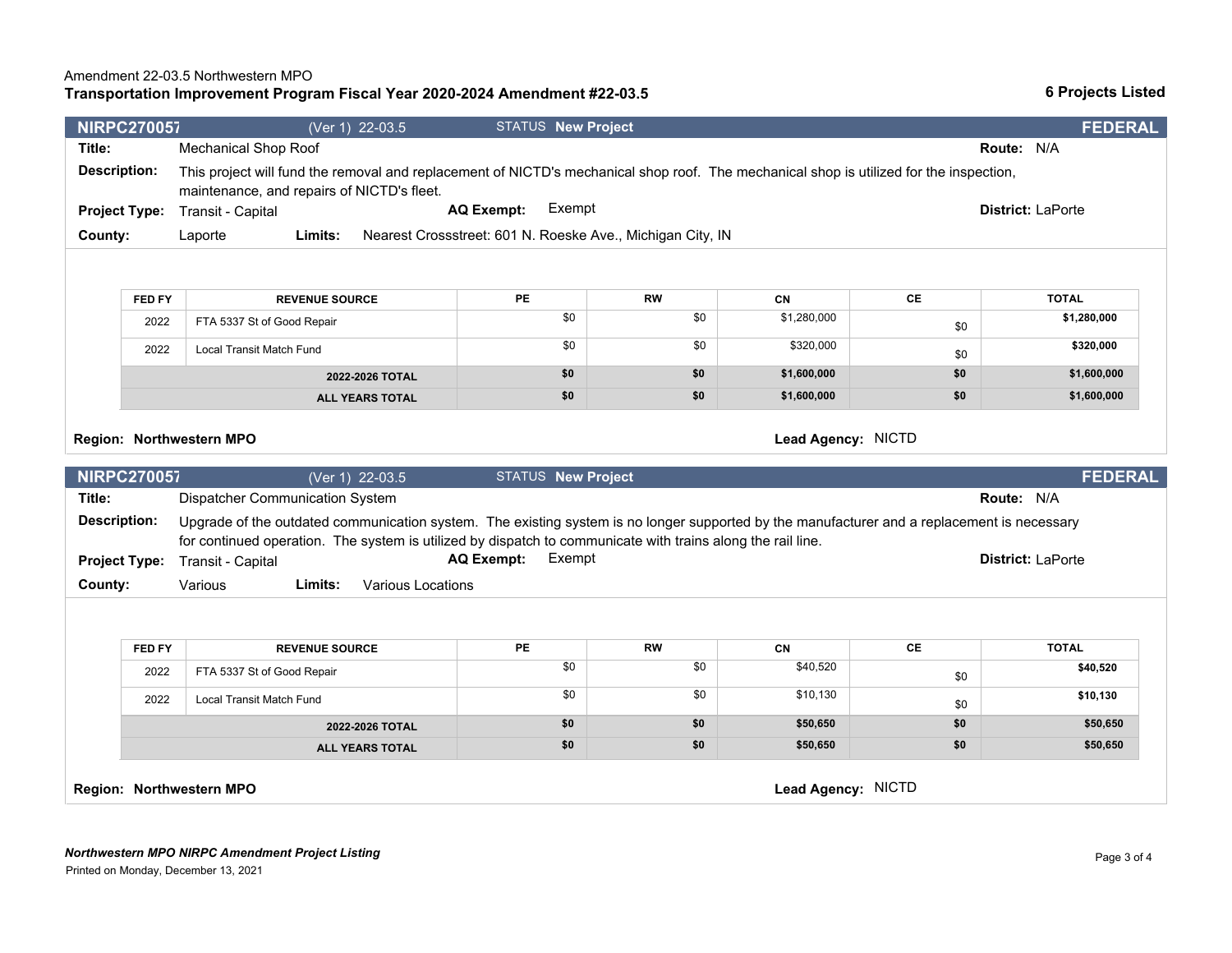**2022-2026 TOTAL \$0 \$0 \$50,650 \$0 \$50,650 ALL YEARS TOTAL \$0 \$0 \$50,650 \$0 \$50,650** 

\$0

\$0

|              | 2022<br>FTA 5337 St of Good Repair                    |                                                                                                                                                                                                                                                            | \$0                       | \$0 | \$1,280,000 | \$0 | \$1,280,000 |                |  |  |
|--------------|-------------------------------------------------------|------------------------------------------------------------------------------------------------------------------------------------------------------------------------------------------------------------------------------------------------------------|---------------------------|-----|-------------|-----|-------------|----------------|--|--|
|              | 2022                                                  | Local Transit Match Fund                                                                                                                                                                                                                                   | \$0                       | \$0 | \$320,000   | \$0 | \$320,000   |                |  |  |
|              |                                                       | 2022-2026 TOTAL                                                                                                                                                                                                                                            | \$0                       | \$0 | \$1,600,000 | \$0 | \$1,600,000 |                |  |  |
|              |                                                       | <b>ALL YEARS TOTAL</b>                                                                                                                                                                                                                                     | \$0                       | \$0 | \$1,600,000 | \$0 | \$1,600,000 |                |  |  |
|              | Lead Agency: NICTD<br><b>Region: Northwestern MPO</b> |                                                                                                                                                                                                                                                            |                           |     |             |     |             |                |  |  |
|              | <b>NIRPC270057</b>                                    | (Ver 1) 22-03.5                                                                                                                                                                                                                                            | <b>STATUS New Project</b> |     |             |     |             | <b>FEDERAL</b> |  |  |
| Title:       |                                                       | Dispatcher Communication System                                                                                                                                                                                                                            |                           |     |             |     | Route: N/A  |                |  |  |
| Description: |                                                       | Upgrade of the outdated communication system. The existing system is no longer supported by the manufacturer and a replacement is necessary<br>for continued operation. The system is utilized by dispatch to communicate with trains along the rail line. |                           |     |             |     |             |                |  |  |

**AQ Exempt:** 

2022 FTA 5337 St of Good Repair 50 \$10,520 \$10,520 \$10,520 \$10,520 \$10,520 \$10,520

2022 Local Transit Match Fund **60 \$10,130** \$0 \$10,130

**Region: Northwestern MPO Lead Agency:** NICTD

**Project Type:**

**County:** Various

| <b>NIRPC270057</b>   |                                            |         | (Ver 1) 22-03.5   | <b>STATUS New Project</b>                                  |                                                                                                                                         | <b>FEDERAL</b> |
|----------------------|--------------------------------------------|---------|-------------------|------------------------------------------------------------|-----------------------------------------------------------------------------------------------------------------------------------------|----------------|
| Title:               | Mechanical Shop Roof                       |         |                   |                                                            | <b>Route: N/A</b>                                                                                                                       |                |
| <b>Description:</b>  | maintenance, and repairs of NICTD's fleet. |         |                   |                                                            | This project will fund the removal and replacement of NICTD's mechanical shop roof. The mechanical shop is utilized for the inspection, |                |
| <b>Project Type:</b> | Transit - Capital                          |         | <b>AQ Exempt:</b> | Exempt                                                     | <b>District: LaPorte</b>                                                                                                                |                |
| County:              | Laporte                                    | Limits: |                   | Nearest Crossstreet: 601 N. Roeske Ave., Michigan City, IN |                                                                                                                                         |                |
|                      |                                            |         |                   |                                                            |                                                                                                                                         |                |

**FED FY REVENUE SOURCE PE RW CN CE TOTAL**

Transit - Capital **Capital Capital Capital Capital AC Exempt:** Exempt **Capital Capital Capital Capital Capital** Capital Capital Capital Capital Capital Capital Capital Capital Capital Capital Capital Capital Capital Capita

**FED FY REVENUE SOURCE PE RW CN CE TOTAL**

# **Transportation Improvement Program Fiscal Year 2020-2024 Amendment #22-03.5**

**Limits:** Various Locations

**6 Projects Listed**

**\$40,520** 

**\$10,130**